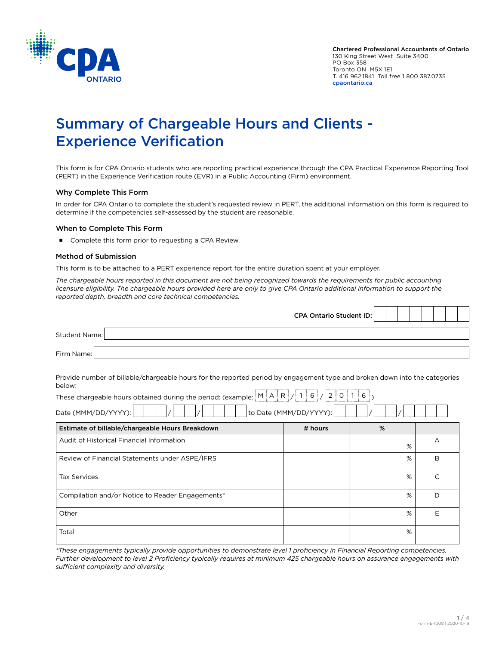

# Summary of Chargeable Hours and Clients - Experience Verification

This form is for CPA Ontario students who are reporting practical experience through the CPA Practical Experience Reporting Tool (PERT) in the Experience Verification route (EVR) in a Public Accounting (Firm) environment.

### Why Complete This Form

In order for CPA Ontario to complete the student's requested review in PERT, the additional information on this form is required to determine if the competencies self-assessed by the student are reasonable.

#### When to Complete This Form

Complete this form prior to requesting a CPA Review.

#### Method of Submission

This form is to be attached to a PERT experience report for the entire duration spent at your employer.

*The chargeable hours reported in this document are not being recognized towards the requirements for public accounting licensure eligibility. The chargeable hours provided here are only to give CPA Ontario additional information to support the reported depth, breadth and core technical competencies.*

|                                                                                                                                                                                                                                                          | <b>CPA Ontario Student ID:</b> |   |              |
|----------------------------------------------------------------------------------------------------------------------------------------------------------------------------------------------------------------------------------------------------------|--------------------------------|---|--------------|
| <b>Student Name:</b>                                                                                                                                                                                                                                     |                                |   |              |
| Firm Name:                                                                                                                                                                                                                                               |                                |   |              |
| Provide number of billable/chargeable hours for the reported period by engagement type and broken down into the categories<br>below:<br>These chargeable hours obtained during the period: (example: $\frac{M[A R]}{A}R/16/20120$<br>Date (MMM/DD/YYYY): | to Date (MMM/DD/YYYY):         |   |              |
| Estimate of billable/chargeable Hours Breakdown                                                                                                                                                                                                          | # hours                        | % |              |
| Audit of Historical Financial Information                                                                                                                                                                                                                |                                | % | A            |
| Review of Financial Statements under ASPE/IFRS                                                                                                                                                                                                           |                                | % | B            |
| <b>Tax Services</b>                                                                                                                                                                                                                                      |                                | % | $\mathsf{C}$ |
| Compilation and/or Notice to Reader Engagements*                                                                                                                                                                                                         |                                | % | D            |
| Other                                                                                                                                                                                                                                                    |                                | % | E            |
| Total                                                                                                                                                                                                                                                    |                                | % |              |

*\*These engagements typically provide opportunities to demonstrate level 1 proficiency in Financial Reporting competencies. Further development to level 2 Proficiency typically requires at minimum 425 chargeable hours on assurance engagements with sufficient complexity and diversity.*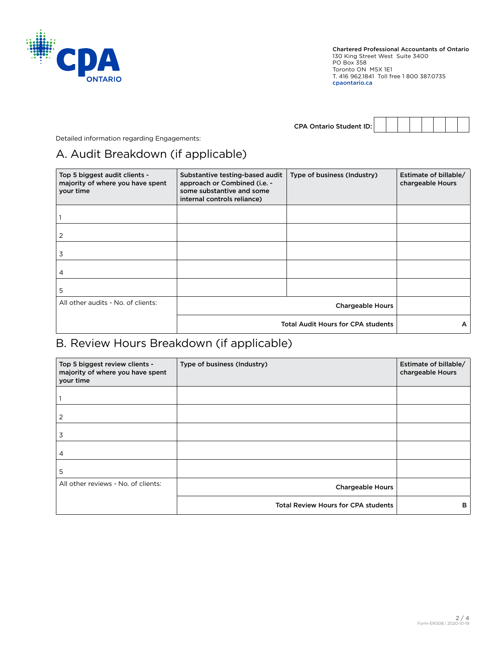

| <b>CPA Ontario Student ID:</b> |  |  |  |  |
|--------------------------------|--|--|--|--|

Detailed information regarding Engagements:

## A. Audit Breakdown (if applicable)

| Top 5 biggest audit clients -<br>majority of where you have spent<br>your time | Substantive testing-based audit<br>Type of business (Industry)<br>approach or Combined (i.e. -<br>some substantive and some<br>internal controls reliance) |   | Estimate of billable/<br>chargeable Hours |
|--------------------------------------------------------------------------------|------------------------------------------------------------------------------------------------------------------------------------------------------------|---|-------------------------------------------|
|                                                                                |                                                                                                                                                            |   |                                           |
| 2                                                                              |                                                                                                                                                            |   |                                           |
| 3                                                                              |                                                                                                                                                            |   |                                           |
| 4                                                                              |                                                                                                                                                            |   |                                           |
| 5                                                                              |                                                                                                                                                            |   |                                           |
| All other audits - No. of clients:                                             |                                                                                                                                                            |   |                                           |
|                                                                                | <b>Total Audit Hours for CPA students</b>                                                                                                                  | A |                                           |

## B. Review Hours Breakdown (if applicable)

| Top 5 biggest review clients -<br>majority of where you have spent<br>your time | Type of business (Industry)                | Estimate of billable/<br>chargeable Hours |
|---------------------------------------------------------------------------------|--------------------------------------------|-------------------------------------------|
|                                                                                 |                                            |                                           |
| 2                                                                               |                                            |                                           |
| 3                                                                               |                                            |                                           |
| 4                                                                               |                                            |                                           |
| 5                                                                               |                                            |                                           |
| All other reviews - No. of clients:                                             | <b>Chargeable Hours</b>                    |                                           |
|                                                                                 | <b>Total Review Hours for CPA students</b> | в                                         |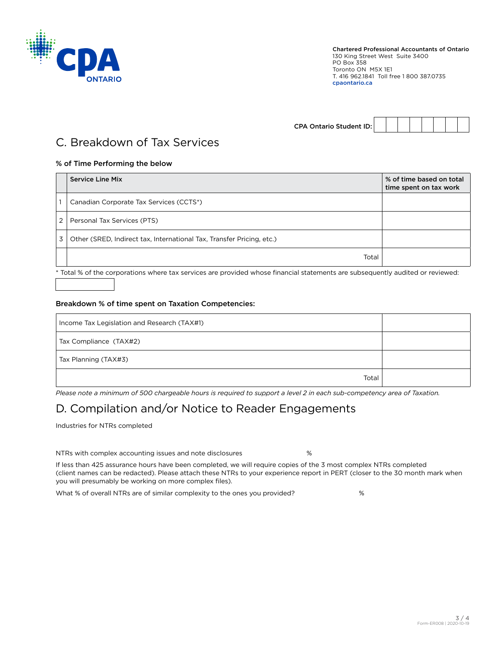

CPA Ontario Student ID:

## C. Breakdown of Tax Services

## % of Time Performing the below

|   | <b>Service Line Mix</b>                                               | % of time based on total<br>time spent on tax work |
|---|-----------------------------------------------------------------------|----------------------------------------------------|
|   | Canadian Corporate Tax Services (CCTS*)                               |                                                    |
| 2 | Personal Tax Services (PTS)                                           |                                                    |
| 3 | Other (SRED, Indirect tax, International Tax, Transfer Pricing, etc.) |                                                    |
|   | Total                                                                 |                                                    |

\* Total % of the corporations where tax services are provided whose financial statements are subsequently audited or reviewed:

## Breakdown % of time spent on Taxation Competencies:

| Income Tax Legislation and Research (TAX#1) |  |
|---------------------------------------------|--|
| Tax Compliance (TAX#2)                      |  |
| Tax Planning (TAX#3)                        |  |
| Total                                       |  |

*Please note a minimum of 500 chargeable hours is required to support a level 2 in each sub-competency area of Taxation.*

## D. Compilation and/or Notice to Reader Engagements

Industries for NTRs completed

NTRs with complex accounting issues and note disclosures %

If less than 425 assurance hours have been completed, we will require copies of the 3 most complex NTRs completed (client names can be redacted). Please attach these NTRs to your experience report in PERT (closer to the 30 month mark when you will presumably be working on more complex files).

What % of overall NTRs are of similar complexity to the ones you provided?  $\%$